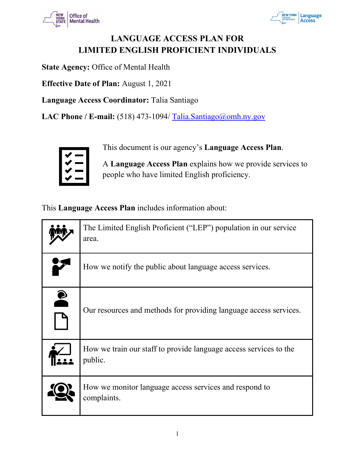



## **LANGUAGE ACCESS PLAN FOR LIMITED ENGLISH PROFICIENT INDIVIDUALS**

**State Agency:** Office of Mental Health

**Effective Date of Plan:** August 1, 2021

**Language Access Coordinator:** Talia Santiago

LAC Phone / E-mail: (518) 473-1094/ [Talia.Santiago@omh.ny.gov](mailto:Talia.Santiago@omh.ny.gov)



This document is our agency's **Language Access Plan**.

A **Language Access Plan** explains how we provide services to people who have limited English proficiency.

This **Language Access Plan** includes information about:

|           | The Limited English Proficient ("LEP") population in our service<br>area.    |
|-----------|------------------------------------------------------------------------------|
|           | How we notify the public about language access services.                     |
| $\bullet$ | Our resources and methods for providing language access services.            |
|           | How we train our staff to provide language access services to the<br>public. |
|           | How we monitor language access services and respond to<br>complaints.        |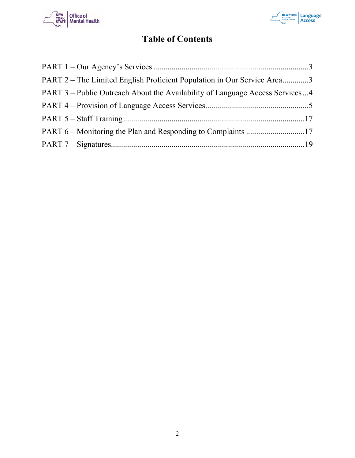



## **Table of Contents**

| PART 2 – The Limited English Proficient Population in Our Service Area3      |  |
|------------------------------------------------------------------------------|--|
| PART 3 – Public Outreach About the Availability of Language Access Services4 |  |
|                                                                              |  |
|                                                                              |  |
|                                                                              |  |
|                                                                              |  |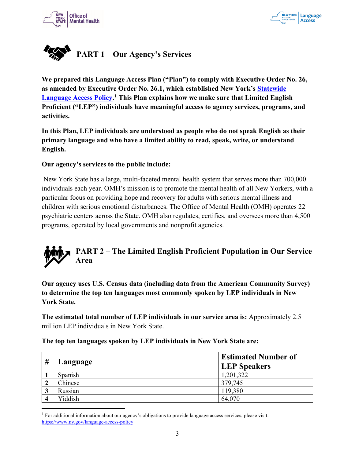



<span id="page-2-0"></span>

**We prepared this Language Access Plan ("Plan") to comply with Executive Order No. 26, as amended by Executive Order No. 26.1, which established New York's [Statewide](https://www.ny.gov/language-access-policy)  [Language Access Policy.](https://www.ny.gov/language-access-policy) [1](#page-2-2) This Plan explains how we make sure that Limited English Proficient ("LEP") individuals have meaningful access to agency services, programs, and activities.**

**In this Plan, LEP individuals are understood as people who do not speak English as their primary language and who have a limited ability to read, speak, write, or understand English.** 

#### **Our agency's services to the public include:**

New York State has a large, multi-faceted mental health system that serves more than 700,000 individuals each year. OMH's mission is to promote the mental health of all New Yorkers, with a particular focus on providing hope and recovery for adults with serious mental illness and children with serious emotional disturbances. The Office of Mental Health (OMH) operates 22 psychiatric centers across the State. OMH also regulates, certifies, and oversees more than 4,500 programs, operated by local governments and nonprofit agencies.

## <span id="page-2-1"></span>**PART 2 – The Limited English Proficient Population in Our Service Area**

**Our agency uses U.S. Census data (including data from the American Community Survey) to determine the top ten languages most commonly spoken by LEP individuals in New York State.** 

**The estimated total number of LEP individuals in our service area is:** Approximately 2.5 million LEP individuals in New York State.

| # | Language | <b>Estimated Number of</b><br><b>LEP Speakers</b> |
|---|----------|---------------------------------------------------|
|   | Spanish  | 1,201,322                                         |
| 车 | Chinese  | 379,745                                           |
| Ĵ | Russian  | 119,380                                           |
|   | Yiddish  | 64,070                                            |

**The top ten languages spoken by LEP individuals in New York State are:**

<span id="page-2-2"></span><sup>1</sup> For additional information about our agency's obligations to provide language access services, please visit: <https://www.ny.gov/language-access-policy>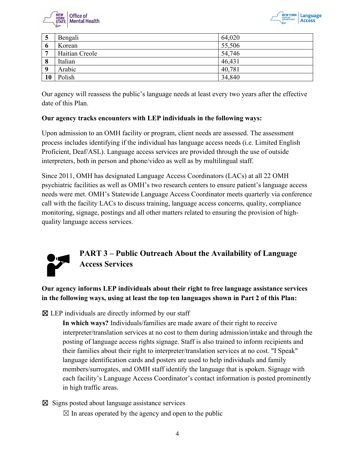



| $\mathbf{D}$ | Bengali        | 64,020 |
|--------------|----------------|--------|
| $\mathbf 0$  | Korean         | 55,506 |
| ៗ            | Haitian Creole | 54,746 |
| 8            | Italian        | 46,431 |
| -9           | Arabic         | 40,781 |
| 10           | Polish         | 34,840 |

Our agency will reassess the public's language needs at least every two years after the effective date of this Plan.

#### **Our agency tracks encounters with LEP individuals in the following ways:**

Upon admission to an OMH facility or program, client needs are assessed. The assessment process includes identifying if the individual has language access needs (i.e. Limited English Proficient, Deaf/ASL). Language access services are provided through the use of outside interpreters, both in person and phone/video as well as by multilingual staff.

Since 2011, OMH has designated Language Access Coordinators (LACs) at all 22 OMH psychiatric facilities as well as OMH's two research centers to ensure patient's language access needs were met. OMH's Statewide Language Access Coordinator meets quarterly via conference call with the facility LACs to discuss training, language access concerns, quality, compliance monitoring, signage, postings and all other matters related to ensuring the provision of highquality language access services.



### <span id="page-3-0"></span>**PART 3 – Public Outreach About the Availability of Language Access Services**

**Our agency informs LEP individuals about their right to free language assistance services in the following ways, using at least the top ten languages shown in Part 2 of this Plan:**

 $\boxtimes$  LEP individuals are directly informed by our staff

**In which ways?** Individuals/families are made aware of their right to receive interpreter/translation services at no cost to them during admission/intake and through the posting of language access rights signage. Staff is also trained to inform recipients and their families about their right to interpreter/translation services at no cost. "I Speak" language identification cards and posters are used to help individuals and family members/surrogates, and OMH staff identify the language that is spoken. Signage with each facility's Language Access Coordinator's contact information is posted prominently in high traffic areas.

☒ Signs posted about language assistance services

 $\boxtimes$  In areas operated by the agency and open to the public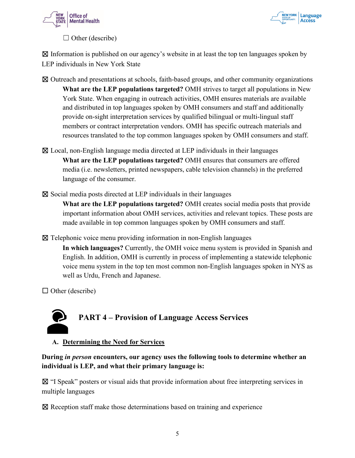



 $\Box$  Other (describe)

 $\boxtimes$  Information is published on our agency's website in at least the top ten languages spoken by LEP individuals in New York State

- ☒ Outreach and presentations at schools, faith-based groups, and other community organizations **What are the LEP populations targeted?** OMH strives to target all populations in New York State. When engaging in outreach activities, OMH ensures materials are available and distributed in top languages spoken by OMH consumers and staff and additionally provide on-sight interpretation services by qualified bilingual or multi-lingual staff members or contract interpretation vendors. OMH has specific outreach materials and resources translated to the top common languages spoken by OMH consumers and staff.
- ☒ Local, non-English language media directed at LEP individuals in their languages **What are the LEP populations targeted?** OMH ensures that consumers are offered media (i.e. newsletters, printed newspapers, cable television channels) in the preferred language of the consumer.

 $\boxtimes$  Social media posts directed at LEP individuals in their languages

**What are the LEP populations targeted?** OMH creates social media posts that provide important information about OMH services, activities and relevant topics. These posts are made available in top common languages spoken by OMH consumers and staff.

 $\boxtimes$  Telephonic voice menu providing information in non-English languages

**In which languages?** Currently, the OMH voice menu system is provided in Spanish and English. In addition, OMH is currently in process of implementing a statewide telephonic voice menu system in the top ten most common non-English languages spoken in NYS as well as Urdu, French and Japanese.

 $\Box$  Other (describe)

# <span id="page-4-0"></span>**PART 4 – Provision of Language Access Services**

**A. Determining the Need for Services**

#### **During** *in person* **encounters, our agency uses the following tools to determine whether an individual is LEP, and what their primary language is:**

☒ "I Speak" posters or visual aids that provide information about free interpreting services in multiple languages

☒ Reception staff make those determinations based on training and experience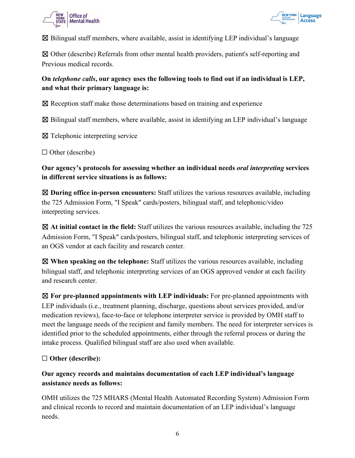



 $\boxtimes$  Bilingual staff members, where available, assist in identifying LEP individual's language

☒ Other (describe) Referrals from other mental health providers, patient's self-reporting and Previous medical records.

#### **On** *telephone calls***, our agency uses the following tools to find out if an individual is LEP, and what their primary language is:**

☒ Reception staff make those determinations based on training and experience

 $\boxtimes$  Bilingual staff members, where available, assist in identifying an LEP individual's language

☒ Telephonic interpreting service

□ Other (describe)

**Our agency's protocols for assessing whether an individual needs** *oral interpreting* **services in different service situations is as follows:**

☒ **During office in-person encounters:** Staff utilizes the various resources available, including the 725 Admission Form, "I Speak" cards/posters, bilingual staff, and telephonic/video interpreting services.

☒ **At initial contact in the field:** Staff utilizes the various resources available, including the 725 Admission Form, "I Speak" cards/posters, bilingual staff, and telephonic interpreting services of an OGS vendor at each facility and research center.

☒ **When speaking on the telephone:** Staff utilizes the various resources available, including bilingual staff, and telephonic interpreting services of an OGS approved vendor at each facility and research center.

☒ **For pre-planned appointments with LEP individuals:** For pre-planned appointments with LEP individuals (i.e., treatment planning, discharge, questions about services provided, and/or medication reviews), face-to-face or telephone interpreter service is provided by OMH staff to meet the language needs of the recipient and family members. The need for interpreter services is identified prior to the scheduled appointments, either through the referral process or during the intake process. Qualified bilingual staff are also used when available.

#### ☐ **Other (describe):**

#### **Our agency records and maintains documentation of each LEP individual's language assistance needs as follows:**

OMH utilizes the 725 MHARS (Mental Health Automated Recording System) Admission Form and clinical records to record and maintain documentation of an LEP individual's language needs.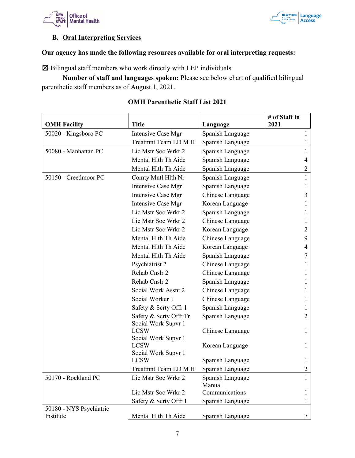



#### **B. Oral Interpreting Services**

#### **Our agency has made the following resources available for oral interpreting requests:**

☒ Bilingual staff members who work directly with LEP individuals

**Number of staff and languages spoken:** Please see below chart of qualified bilingual parenthetic staff members as of August 1, 2021.

|                         |                                               |                            | # of Staff in  |
|-------------------------|-----------------------------------------------|----------------------------|----------------|
| <b>OMH Facility</b>     | <b>Title</b>                                  | Language                   | 2021           |
| 50020 - Kingsboro PC    | Intensive Case Mgr                            | Spanish Language           | 1              |
|                         | Treatmnt Team LD M H                          | Spanish Language           |                |
| 50080 - Manhattan PC    | Lic Mstr Soc Wrkr 2                           | Spanish Language           | 1              |
|                         | Mental Hlth Th Aide                           | Spanish Language           | 4              |
|                         | Mental Hlth Th Aide                           | Spanish Language           | $\overline{c}$ |
| 50150 - Creedmoor PC    | Comty Mntl Hlth Nr                            | Spanish Language           | $\mathbf{1}$   |
|                         | Intensive Case Mgr                            | Spanish Language           | 1              |
|                         | Intensive Case Mgr                            | Chinese Language           | 3              |
|                         | Intensive Case Mgr                            | Korean Language            | 1              |
|                         | Lic Mstr Soc Wrkr 2                           | Spanish Language           | 1              |
|                         | Lic Mstr Soc Wrkr 2                           | Chinese Language           |                |
|                         | Lic Mstr Soc Wrkr 2                           | Korean Language            | 2              |
|                         | Mental Hlth Th Aide                           | Chinese Language           | 9              |
|                         | Mental Hlth Th Aide                           | Korean Language            | 4              |
|                         | Mental Hlth Th Aide                           | Spanish Language           | 7              |
|                         | Psychiatrist 2                                | Chinese Language           | 1              |
|                         | Rehab Cnslr 2                                 | Chinese Language           |                |
|                         | Rehab Cnslr 2                                 | Spanish Language           | 1              |
|                         | Social Work Assnt 2                           | Chinese Language           |                |
|                         | Social Worker 1                               | Chinese Language           | 1              |
|                         | Safety & Scrty Offr 1                         | Spanish Language           |                |
|                         | Safety & Scrty Offr Tr<br>Social Work Supvr 1 | Spanish Language           | 2              |
|                         | <b>LCSW</b><br>Social Work Supvr 1            | Chinese Language           | 1              |
|                         | <b>LCSW</b><br>Social Work Supvr 1            | Korean Language            | 1              |
|                         | <b>LCSW</b>                                   | Spanish Language           | 1              |
|                         | Treatmnt Team LD M H                          | Spanish Language           | 2              |
| 50170 - Rockland PC     | Lic Mstr Soc Wrkr 2                           | Spanish Language<br>Manual | 1              |
|                         | Lic Mstr Soc Wrkr 2                           | Communications             | 1              |
|                         | Safety & Scrty Offr 1                         | Spanish Language           | 1              |
| 50180 - NYS Psychiatric |                                               |                            |                |
| Institute               | Mental Hlth Th Aide                           | Spanish Language           | 7              |

#### **OMH Parenthetic Staff List 2021**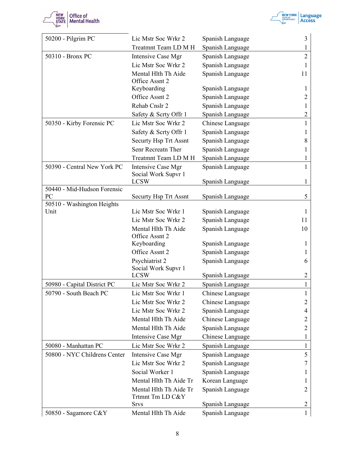



| 50200 - Pilgrim PC                 | Lic Mstr Soc Wrkr 2                        | Spanish Language                     | 3              |
|------------------------------------|--------------------------------------------|--------------------------------------|----------------|
|                                    | Treatmnt Team LD M H                       | Spanish Language                     | 1              |
| 50310 - Bronx PC                   | Intensive Case Mgr                         | Spanish Language                     | $\overline{2}$ |
|                                    | Lic Mstr Soc Wrkr 2                        | Spanish Language                     | 1              |
|                                    | Mental Hlth Th Aide                        | Spanish Language                     | 11             |
|                                    | Office Assnt 2                             |                                      |                |
|                                    | Keyboarding                                | Spanish Language                     | 1              |
|                                    | Office Assnt 2                             | Spanish Language                     | 2              |
|                                    | Rehab Cnslr 2                              | Spanish Language                     | 1              |
|                                    | Safety & Scrty Offr 1                      | Spanish Language                     | 2              |
| 50350 - Kirby Forensic PC          | Lic Mstr Soc Wrkr 2                        | Chinese Language                     | 1              |
|                                    | Safety & Scrty Offr 1                      | Spanish Language                     | 1              |
|                                    | Securty Hsp Trt Assnt                      | Spanish Language                     | 8              |
|                                    | Senr Recreatn Ther                         | Spanish Language                     | 1              |
|                                    | Treatmnt Team LD M H                       | Spanish Language                     | 1              |
| 50390 - Central New York PC        | Intensive Case Mgr<br>Social Work Supvr 1  | Spanish Language                     | 1              |
|                                    | <b>LCSW</b>                                | Spanish Language                     | 1              |
| 50440 - Mid-Hudson Forensic        |                                            |                                      |                |
| PC                                 | Securty Hsp Trt Assnt                      | Spanish Language                     | 5              |
| 50510 - Washington Heights<br>Unit | Lic Mstr Soc Wrkr 1                        |                                      |                |
|                                    | Lic Mstr Soc Wrkr 2                        | Spanish Language                     | 1              |
|                                    | Mental Hlth Th Aide                        | Spanish Language<br>Spanish Language | 11<br>10       |
|                                    | Office Assnt 2                             |                                      |                |
|                                    | Keyboarding                                | Spanish Language                     | 1              |
|                                    | Office Assnt 2                             | Spanish Language                     | 1              |
|                                    | Psychiatrist 2                             | Spanish Language                     | 6              |
|                                    | Social Work Supvr 1                        |                                      |                |
|                                    | <b>LCSW</b>                                | Spanish Language                     | $\overline{c}$ |
| 50980 - Capital District PC        | Lic Mstr Soc Wrkr 2                        | Spanish Language                     |                |
| 50790 - South Beach PC             | Lic Mstr Soc Wrkr 1                        | Chinese Language                     | 1              |
|                                    | Lic Mstr Soc Wrkr 2                        | Chinese Language                     | $\overline{2}$ |
|                                    | Lic Mstr Soc Wrkr 2                        | Spanish Language                     | 4              |
|                                    | Mental Hlth Th Aide                        | Chinese Language                     | 2              |
|                                    | Mental Hlth Th Aide                        | Spanish Language                     | $\overline{2}$ |
|                                    | Intensive Case Mgr                         | Chinese Language                     | 1              |
| 50080 - Manhattan PC               | Lic Mstr Soc Wrkr 2                        | Spanish Language                     | 1              |
| 50800 - NYC Childrens Center       | Intensive Case Mgr                         | Spanish Language                     | 5              |
|                                    | Lic Mstr Soc Wrkr 2                        | Spanish Language                     | 7              |
|                                    | Social Worker 1                            | Spanish Language                     | 1              |
|                                    | Mental Hlth Th Aide Tr                     | Korean Language                      | 1              |
|                                    | Mental Hlth Th Aide Tr<br>Trtmnt Tm LD C&Y | Spanish Language                     | 2              |
|                                    | <b>Srvs</b>                                | Spanish Language                     | $\overline{c}$ |
| 50850 - Sagamore C&Y               | Mental Hlth Th Aide                        | Spanish Language                     | $\mathbf{1}$   |
|                                    |                                            |                                      |                |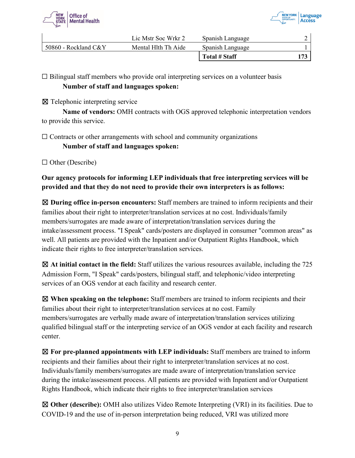



|                      | Lic Mstr Soc Wrkr 2 | Spanish Language |  |
|----------------------|---------------------|------------------|--|
| 50860 - Rockland C&Y | Mental Hlth Th Aide | Spanish Language |  |
|                      |                     | Total # Staff    |  |

 $\Box$  Bilingual staff members who provide oral interpreting services on a volunteer basis **Number of staff and languages spoken:**

☒ Telephonic interpreting service

**Name of vendors:** OMH contracts with OGS approved telephonic interpretation vendors to provide this service.

 $\Box$  Contracts or other arrangements with school and community organizations

**Number of staff and languages spoken:**

 $\Box$  Other (Describe)

#### **Our agency protocols for informing LEP individuals that free interpreting services will be provided and that they do not need to provide their own interpreters is as follows:**

☒ **During office in-person encounters:** Staff members are trained to inform recipients and their families about their right to interpreter/translation services at no cost. Individuals/family members/surrogates are made aware of interpretation/translation services during the intake/assessment process. "I Speak" cards/posters are displayed in consumer "common areas" as well. All patients are provided with the Inpatient and/or Outpatient Rights Handbook, which indicate their rights to free interpreter/translation services.

☒ **At initial contact in the field:** Staff utilizes the various resources available, including the 725 Admission Form, "I Speak" cards/posters, bilingual staff, and telephonic/video interpreting services of an OGS vendor at each facility and research center.

☒ **When speaking on the telephone:** Staff members are trained to inform recipients and their families about their right to interpreter/translation services at no cost. Family members/surrogates are verbally made aware of interpretation/translation services utilizing qualified bilingual staff or the interpreting service of an OGS vendor at each facility and research center.

☒ **For pre-planned appointments with LEP individuals:** Staff members are trained to inform recipients and their families about their right to interpreter/translation services at no cost. Individuals/family members/surrogates are made aware of interpretation/translation service during the intake/assessment process. All patients are provided with Inpatient and/or Outpatient Rights Handbook, which indicate their rights to free interpreter/translation services

☒ **Other (describe):** OMH also utilizes Video Remote Interpreting (VRI) in its facilities. Due to COVID-19 and the use of in-person interpretation being reduced, VRI was utilized more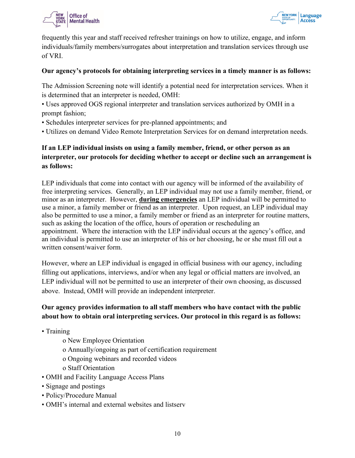



frequently this year and staff received refresher trainings on how to utilize, engage, and inform individuals/family members/surrogates about interpretation and translation services through use of VRI.

#### **Our agency's protocols for obtaining interpreting services in a timely manner is as follows:**

The Admission Screening note will identify a potential need for interpretation services. When it is determined that an interpreter is needed, OMH:

- Uses approved OGS regional interpreter and translation services authorized by OMH in a prompt fashion;
- Schedules interpreter services for pre-planned appointments; and
- Utilizes on demand Video Remote Interpretation Services for on demand interpretation needs.

#### **If an LEP individual insists on using a family member, friend, or other person as an interpreter, our protocols for deciding whether to accept or decline such an arrangement is as follows:**

LEP individuals that come into contact with our agency will be informed of the availability of free interpreting services. Generally, an LEP individual may not use a family member, friend, or minor as an interpreter. However, **during emergencies** an LEP individual will be permitted to use a minor, a family member or friend as an interpreter. Upon request, an LEP individual may also be permitted to use a minor, a family member or friend as an interpreter for routine matters, such as asking the location of the office, hours of operation or rescheduling an appointment. Where the interaction with the LEP individual occurs at the agency's office, and an individual is permitted to use an interpreter of his or her choosing, he or she must fill out a written consent/waiver form.

However, where an LEP individual is engaged in official business with our agency, including filling out applications, interviews, and/or when any legal or official matters are involved, an LEP individual will not be permitted to use an interpreter of their own choosing, as discussed above. Instead, OMH will provide an independent interpreter.

#### **Our agency provides information to all staff members who have contact with the public about how to obtain oral interpreting services. Our protocol in this regard is as follows:**

- Training
	- o New Employee Orientation
	- o Annually/ongoing as part of certification requirement
	- o Ongoing webinars and recorded videos
	- o Staff Orientation
- OMH and Facility Language Access Plans
- Signage and postings
- Policy/Procedure Manual
- OMH's internal and external websites and listserv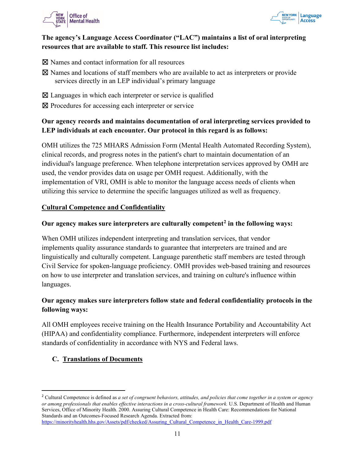



#### **The agency's Language Access Coordinator ("LAC") maintains a list of oral interpreting resources that are available to staff. This resource list includes:**

- ⊠ Names and contact information for all resources
- ☒ Names and locations of staff members who are available to act as interpreters or provide services directly in an LEP individual's primary language
- $\boxtimes$  Languages in which each interpreter or service is qualified
- ⊠ Procedures for accessing each interpreter or service

#### **Our agency records and maintains documentation of oral interpreting services provided to LEP individuals at each encounter. Our protocol in this regard is as follows:**

OMH utilizes the 725 MHARS Admission Form (Mental Health Automated Recording System), clinical records, and progress notes in the patient's chart to maintain documentation of an individual's language preference. When telephone interpretation services approved by OMH are used, the vendor provides data on usage per OMH request. Additionally, with the implementation of VRI, OMH is able to monitor the language access needs of clients when utilizing this service to determine the specific languages utilized as well as frequency.

#### **Cultural Competence and Confidentiality**

#### **Our agency makes sure interpreters are culturally competent[2](#page-10-0) in the following ways:**

When OMH utilizes independent interpreting and translation services, that vendor implements quality assurance standards to guarantee that interpreters are trained and are linguistically and culturally competent. Language parenthetic staff members are tested through Civil Service for spoken-language proficiency. OMH provides web-based training and resources on how to use interpreter and translation services, and training on culture's influence within languages.

#### **Our agency makes sure interpreters follow state and federal confidentiality protocols in the following ways:**

All OMH employees receive training on the Health Insurance Portability and Accountability Act (HIPAA) and confidentiality compliance. Furthermore, independent interpreters will enforce standards of confidentiality in accordance with NYS and Federal laws.

#### **C. Translations of Documents**

<span id="page-10-0"></span><sup>2</sup> Cultural Competence is defined as *a set of congruent behaviors, attitudes, and policies that come together in a system or agency or among professionals that enables effective interactions in a cross-cultural framework.* U.S. Department of Health and Human Services, Office of Minority Health. 2000. Assuring Cultural Competence in Health Care: Recommendations for National Standards and an Outcomes-Focused Research Agenda. Extracted from: [https://minorityhealth.hhs.gov/Assets/pdf/checked/Assuring\\_Cultural\\_Competence\\_in\\_Health\\_Care-1999.pdf](https://minorityhealth.hhs.gov/Assets/pdf/checked/Assuring_Cultural_Competence_in_Health_Care-1999.pdf)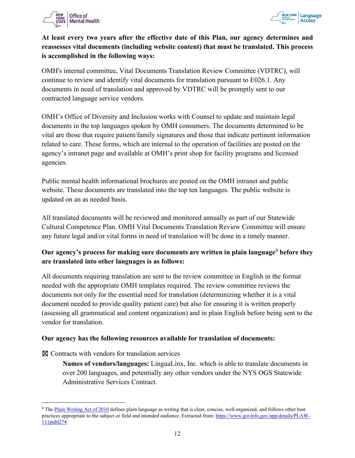



#### **At least every two years after the effective date of this Plan, our agency determines and reassesses vital documents (including website content) that must be translated. This process is accomplished in the following ways:**

OMH's internal committee, Vital Documents Translation Review Committee (VDTRC), will continue to review and identify vital documents for translation pursuant to E026.1. Any documents in need of translation and approved by VDTRC will be promptly sent to our contracted language service vendors.

OMH's Office of Diversity and Inclusion works with Counsel to update and maintain legal documents in the top languages spoken by OMH consumers. The documents determined to be vital are those that require patient/family signatures and those that indicate pertinent information related to care. These forms, which are internal to the operation of facilities are posted on the agency's intranet page and available at OMH's print shop for facility programs and licensed agencies.

Public mental health informational brochures are posted on the OMH intranet and public website. These documents are translated into the top ten languages. The public website is updated on an as needed basis.

All translated documents will be reviewed and monitored annually as part of our Statewide Cultural Competence Plan. OMH Vital Documents Translation Review Committee will ensure any future legal and/or vital forms in need of translation will be done in a timely manner.

#### **Our agency's process for making sure documents are written in plain languag[e3](#page-11-0) before they are translated into other languages is as follows:**

All documents requiring translation are sent to the review committee in English in the format needed with the appropriate OMH templates required. The review committee reviews the documents not only for the essential need for translation (determinizing whether it is a vital document needed to provide quality patient care) but also for ensuring it is written properly (assessing all grammatical and content organization) and in plain English before being sent to the vendor for translation.

#### **Our agency has the following resources available for translation of documents:**

☒ Contracts with vendors for translation services

**Names of vendors/languages:** LinguaLinx, Inc. which is able to translate documents in over 200 languages, and potentially any other vendors under the NYS OGS Statewide Administrative Services Contract.

<span id="page-11-0"></span><sup>&</sup>lt;sup>3</sup> The [Plain Writing Act of 2010](https://www.govinfo.gov/app/details/PLAW-111publ274) defines plain language as writing that is clear, concise, well-organized, and follows other best practices appropriate to the subject or field and intended audience. Extracted from: [https://www.govinfo.gov/app/details/PLAW-](https://www.govinfo.gov/app/details/PLAW-111publ274)[111publ274](https://www.govinfo.gov/app/details/PLAW-111publ274)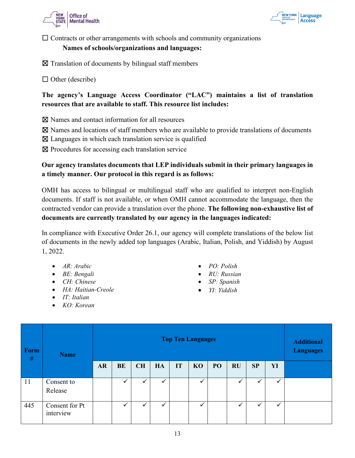



 $\Box$  Contracts or other arrangements with schools and community organizations

#### **Names of schools/organizations and languages:**

 $\boxtimes$  Translation of documents by bilingual staff members

 $\Box$  Other (describe)

#### **The agency's Language Access Coordinator ("LAC") maintains a list of translation resources that are available to staff. This resource list includes:**

☒ Names and contact information for all resources

- $\boxtimes$  Names and locations of staff members who are available to provide translations of documents
- $\boxtimes$  Languages in which each translation service is qualified
- ☒ Procedures for accessing each translation service

#### **Our agency translates documents that LEP individuals submit in their primary languages in a timely manner. Our protocol in this regard is as follows:**

OMH has access to bilingual or multilingual staff who are qualified to interpret non-English documents. If staff is not available, or when OMH cannot accommodate the language, then the contracted vendor can provide a translation over the phone. **The following non-exhaustive list of documents are currently translated by our agency in the languages indicated:**

In compliance with Executive Order 26.1, our agency will complete translations of the below list of documents in the newly added top languages (Arabic, Italian, Polish, and Yiddish) by August 1, 2022.

- *AR: Arabic*
- *BE: Bengali*
- *CH: Chinese*
- *HA: Haitian-Creole*
- *IT: Italian*
- *KO: Korean*
- *PO: Polish*
- *RU: Russian*
- *SP: Spanish*
- *YI: Yiddish*

| <b>Form</b><br>$\#$ | <b>Name</b>                 | <b>Top Ten Languages</b> |           |           |    |    |    |    |              |    |              | <b>Additional</b><br><b>Languages</b> |
|---------------------|-----------------------------|--------------------------|-----------|-----------|----|----|----|----|--------------|----|--------------|---------------------------------------|
|                     |                             | <b>AR</b>                | <b>BE</b> | <b>CH</b> | HA | IT | KO | PO | <b>RU</b>    | SP | YI           |                                       |
| 11                  | Consent to<br>Release       |                          |           | ✓         | ✓  |    | ✓  |    | $\checkmark$ |    | $\checkmark$ |                                       |
| 445                 | Consent for Pt<br>interview |                          |           | ✓         | v  |    |    |    |              |    | ✓            |                                       |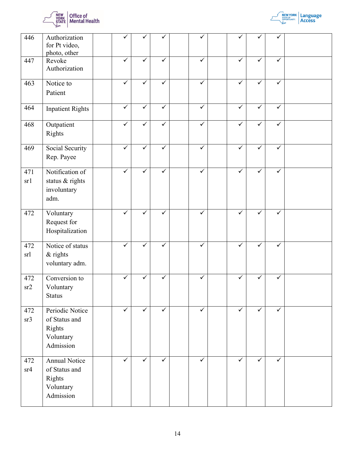



| 446        | Authorization<br>for Pt video,<br>photo, other                       |              | ✓            |              |              |              | ✓            |              |  |
|------------|----------------------------------------------------------------------|--------------|--------------|--------------|--------------|--------------|--------------|--------------|--|
| 447        | Revoke<br>Authorization                                              | ✓            | ✓            | $\checkmark$ | ✓            | ✓            | ✓            | ✓            |  |
| 463        | Notice to<br>Patient                                                 | $\checkmark$ | $\checkmark$ | ✓            | ✓            | $\checkmark$ | $\checkmark$ | ✓            |  |
| 464        | <b>Inpatient Rights</b>                                              | $\checkmark$ | $\checkmark$ | $\checkmark$ | $\checkmark$ | $\checkmark$ | $\checkmark$ | $\checkmark$ |  |
| 468        | Outpatient<br>Rights                                                 | $\checkmark$ | $\checkmark$ | $\checkmark$ | ✓            | $\checkmark$ | ✓            | ✓            |  |
| 469        | Social Security<br>Rep. Payee                                        | ✓            | ✓            | ✓            | ✓            | ✓            | ✓            | ✓            |  |
| 471<br>sr1 | Notification of<br>status & rights<br>involuntary<br>adm.            | ✓            | ✓            | $\checkmark$ | ✓            | ✓            | ✓            | ✓            |  |
| 472        | Voluntary<br>Request for<br>Hospitalization                          | ✓            | ✓            | ✓            | ✓            | ✓            | ✓            | ✓            |  |
| 472<br>srl | Notice of status<br>$&$ rights<br>voluntary adm.                     | $\checkmark$ | $\checkmark$ | $\checkmark$ | ✓            | $\checkmark$ | $\checkmark$ | ✓            |  |
| 472<br>sr2 | Conversion to<br>Voluntary<br><b>Status</b>                          | ✓            | $\checkmark$ | ✓            | ✓            | ✓            | $\checkmark$ | $\checkmark$ |  |
| 472<br>sr3 | Periodic Notice<br>of Status and<br>Rights<br>Voluntary<br>Admission | $\checkmark$ | $\checkmark$ | $\checkmark$ | $\checkmark$ | $\checkmark$ | $\checkmark$ | ✓            |  |
| 472<br>sr4 | Annual Notice<br>of Status and<br>Rights<br>Voluntary<br>Admission   | $\checkmark$ | $\checkmark$ | $\checkmark$ | $\checkmark$ | $\checkmark$ | ✓            | $\checkmark$ |  |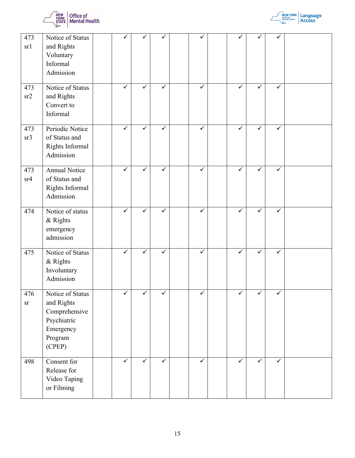



| 473<br>sr1        | Notice of Status<br>and Rights<br>Voluntary<br>Informal<br>Admission                             |              | ✓            | ✓            | ✓            |              | ✓            | ✓            |  |
|-------------------|--------------------------------------------------------------------------------------------------|--------------|--------------|--------------|--------------|--------------|--------------|--------------|--|
| 473<br>sr2        | Notice of Status<br>and Rights<br>Convert to<br>Informal                                         | $\checkmark$ | $\checkmark$ | ✓            | $\checkmark$ | $\checkmark$ | $\checkmark$ | $\checkmark$ |  |
| 473<br>sr3        | Periodic Notice<br>of Status and<br>Rights Informal<br>Admission                                 | $\checkmark$ | $\checkmark$ | $\checkmark$ | $\checkmark$ | $\checkmark$ | $\checkmark$ | $\checkmark$ |  |
| 473<br>sr4        | <b>Annual Notice</b><br>of Status and<br>Rights Informal<br>Admission                            | $\checkmark$ | $\checkmark$ | ✓            | $\checkmark$ | $\checkmark$ | $\checkmark$ | $\checkmark$ |  |
| 474               | Notice of status<br>& Rights<br>emergency<br>admission                                           | $\checkmark$ | $\checkmark$ | $\checkmark$ | $\checkmark$ | $\checkmark$ | $\checkmark$ | $\checkmark$ |  |
| 475               | Notice of Status<br>& Rights<br>Involuntary<br>Admission                                         | ✓            | $\checkmark$ | $\checkmark$ | $\checkmark$ | $\checkmark$ | $\checkmark$ | ✓            |  |
| 476<br>${\rm sr}$ | Notice of Status<br>and Rights<br>Comprehensive<br>Psychiatric<br>Emergency<br>Program<br>(CPEP) |              | ✓            | ✓            | ✓            | ✓            | ✓            | ✓            |  |
| 498               | Consent for<br>Release for<br>Video Taping<br>or Filming                                         | $\checkmark$ | $\checkmark$ | $\checkmark$ | $\checkmark$ | $\checkmark$ | ✓            | $\checkmark$ |  |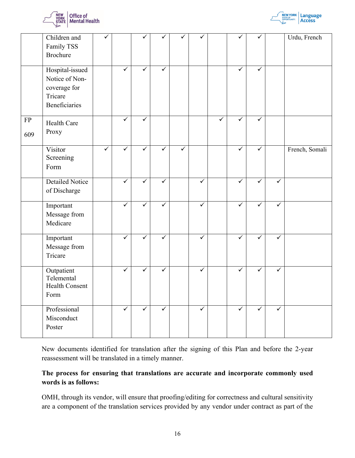



|           | Children and<br>Family TSS<br>Brochure                                        | ✓            |              | ✓            | ✓            |              | ✓            |   | ✓            | ✓            |              | Urdu, French   |
|-----------|-------------------------------------------------------------------------------|--------------|--------------|--------------|--------------|--------------|--------------|---|--------------|--------------|--------------|----------------|
|           | Hospital-issued<br>Notice of Non-<br>coverage for<br>Tricare<br>Beneficiaries |              | $\checkmark$ | $\checkmark$ | $\checkmark$ |              |              |   | $\checkmark$ | $\checkmark$ |              |                |
| FP<br>609 | Health Care<br>Proxy                                                          |              | ✓            | ✓            |              |              |              | ✓ | ✓            | ✓            |              |                |
|           | Visitor<br>Screening<br>Form                                                  | $\checkmark$ | ✓            | $\checkmark$ | $\checkmark$ | $\checkmark$ |              |   | $\checkmark$ | $\checkmark$ |              | French, Somali |
|           | <b>Detailed Notice</b><br>of Discharge                                        |              | ✓            | $\checkmark$ | ✓            |              | $\checkmark$ |   | $\checkmark$ | ✓            | ✓            |                |
|           | Important<br>Message from<br>Medicare                                         |              | $\checkmark$ | $\checkmark$ | $\checkmark$ |              | $\checkmark$ |   | $\checkmark$ | $\checkmark$ | $\checkmark$ |                |
|           | Important<br>Message from<br>Tricare                                          |              | ✓            | $\checkmark$ | ✓            |              | $\checkmark$ |   | ✓            | $\checkmark$ | ✓            |                |
|           | Outpatient<br>Telemental<br>Health Consent<br>Form                            |              | $\checkmark$ | $\checkmark$ | $\checkmark$ |              | $\checkmark$ |   | $\checkmark$ | $\checkmark$ | $\checkmark$ |                |
|           | Professional<br>Misconduct<br>Poster                                          |              | $\checkmark$ | $\checkmark$ | $\checkmark$ |              | $\checkmark$ |   | $\checkmark$ | $\checkmark$ | ✓            |                |

New documents identified for translation after the signing of this Plan and before the 2-year reassessment will be translated in a timely manner.

#### **The process for ensuring that translations are accurate and incorporate commonly used words is as follows:**

OMH, through its vendor, will ensure that proofing/editing for correctness and cultural sensitivity are a component of the translation services provided by any vendor under contract as part of the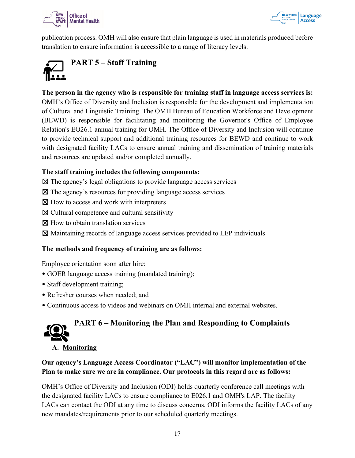



publication process. OMH will also ensure that plain language is used in materials produced before translation to ensure information is accessible to a range of literacy levels.

<span id="page-16-0"></span>

**The person in the agency who is responsible for training staff in language access services is:** OMH's Office of Diversity and Inclusion is responsible for the development and implementation of Cultural and Linguistic Training. The OMH Bureau of Education Workforce and Development (BEWD) is responsible for facilitating and monitoring the Governor's Office of Employee Relation's EO26.1 annual training for OMH. The Office of Diversity and Inclusion will continue to provide technical support and additional training resources for BEWD and continue to work with designated facility LACs to ensure annual training and dissemination of training materials and resources are updated and/or completed annually.

#### **The staff training includes the following components:**

- $\boxtimes$  The agency's legal obligations to provide language access services
- $\boxtimes$  The agency's resources for providing language access services
- $\boxtimes$  How to access and work with interpreters
- ☒ Cultural competence and cultural sensitivity
- ⊠ How to obtain translation services
- ☒ Maintaining records of language access services provided to LEP individuals

#### **The methods and frequency of training are as follows:**

Employee orientation soon after hire:

- GOER language access training (mandated training);
- Staff development training;
- Refresher courses when needed; and
- Continuous access to videos and webinars on OMH internal and external websites.

## <span id="page-16-1"></span>**PART 6 – Monitoring the Plan and Responding to Complaints**

**A. Monitoring**

#### **Our agency's Language Access Coordinator ("LAC") will monitor implementation of the Plan to make sure we are in compliance. Our protocols in this regard are as follows:**

OMH's Office of Diversity and Inclusion (ODI) holds quarterly conference call meetings with the designated facility LACs to ensure compliance to E026.1 and OMH's LAP. The facility LACs can contact the ODI at any time to discuss concerns. ODI informs the facility LACs of any new mandates/requirements prior to our scheduled quarterly meetings.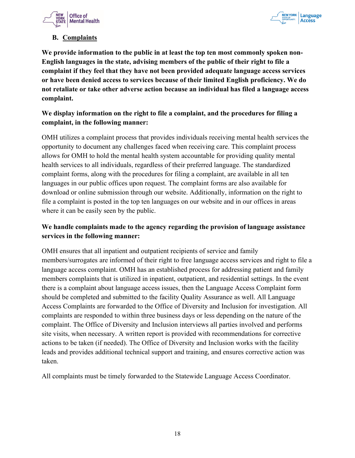



#### **B. Complaints**

**We provide information to the public in at least the top ten most commonly spoken non-English languages in the state, advising members of the public of their right to file a complaint if they feel that they have not been provided adequate language access services or have been denied access to services because of their limited English proficiency. We do not retaliate or take other adverse action because an individual has filed a language access complaint.** 

#### **We display information on the right to file a complaint, and the procedures for filing a complaint, in the following manner:**

OMH utilizes a complaint process that provides individuals receiving mental health services the opportunity to document any challenges faced when receiving care. This complaint process allows for OMH to hold the mental health system accountable for providing quality mental health services to all individuals, regardless of their preferred language. The standardized complaint forms, along with the procedures for filing a complaint, are available in all ten languages in our public offices upon request. The complaint forms are also available for download or online submission through our website. Additionally, information on the right to file a complaint is posted in the top ten languages on our website and in our offices in areas where it can be easily seen by the public.

#### **We handle complaints made to the agency regarding the provision of language assistance services in the following manner:**

OMH ensures that all inpatient and outpatient recipients of service and family members/surrogates are informed of their right to free language access services and right to file a language access complaint. OMH has an established process for addressing patient and family members complaints that is utilized in inpatient, outpatient, and residential settings. In the event there is a complaint about language access issues, then the Language Access Complaint form should be completed and submitted to the facility Quality Assurance as well. All Language Access Complaints are forwarded to the Office of Diversity and Inclusion for investigation. All complaints are responded to within three business days or less depending on the nature of the complaint. The Office of Diversity and Inclusion interviews all parties involved and performs site visits, when necessary. A written report is provided with recommendations for corrective actions to be taken (if needed). The Office of Diversity and Inclusion works with the facility leads and provides additional technical support and training, and ensures corrective action was taken.

<span id="page-17-0"></span>All complaints must be timely forwarded to the Statewide Language Access Coordinator.